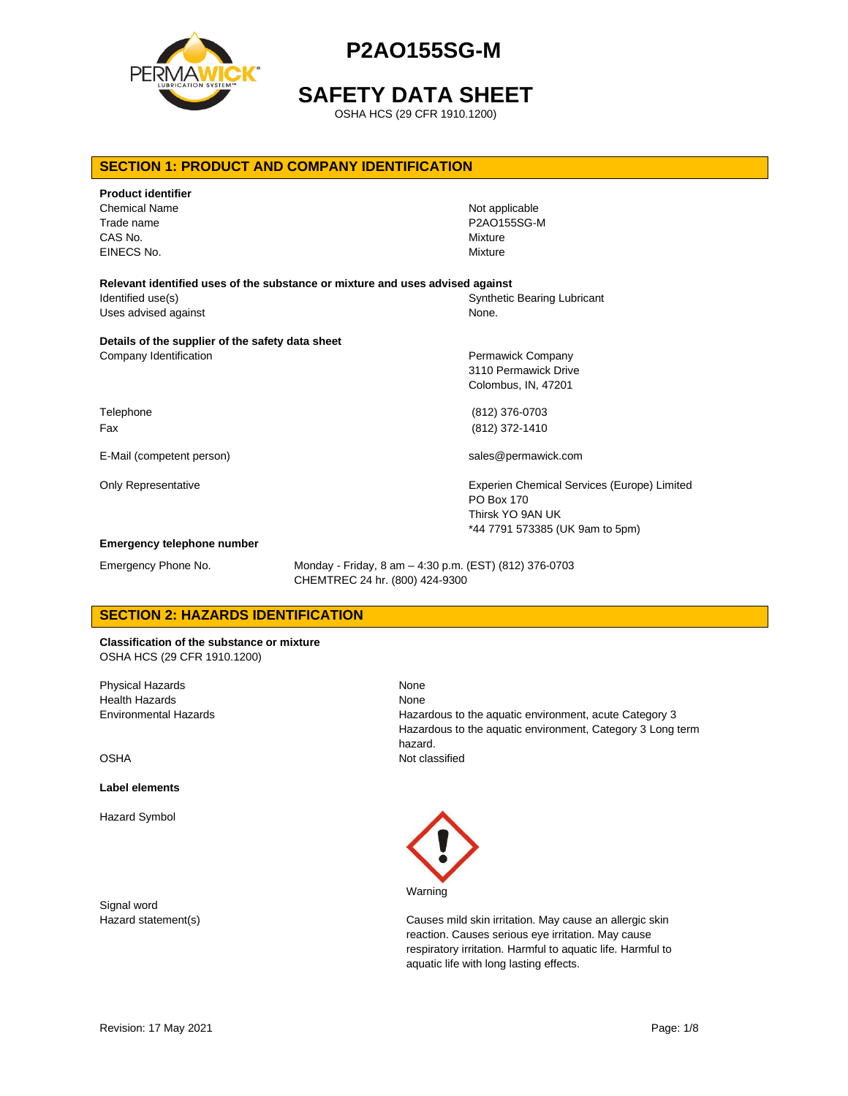

**SAFETY DATA SHEET**

OSHA HCS (29 CFR 1910.1200)

### **SECTION 1: PRODUCT AND COMPANY IDENTIFICATION**

| <b>Product identifier</b>                                                     |                                                    |
|-------------------------------------------------------------------------------|----------------------------------------------------|
| <b>Chemical Name</b>                                                          | Not applicable                                     |
| Trade name                                                                    | P2AO155SG-M                                        |
| CAS No.                                                                       | Mixture                                            |
| EINECS No.                                                                    | Mixture                                            |
| Relevant identified uses of the substance or mixture and uses advised against |                                                    |
| Identified use(s)                                                             | <b>Synthetic Bearing Lubricant</b>                 |
| Uses advised against                                                          | None.                                              |
| Details of the supplier of the safety data sheet                              |                                                    |
| Company Identification                                                        | Permawick Company                                  |
|                                                                               | 3110 Permawick Drive                               |
|                                                                               | Colombus, IN, 47201                                |
| Telephone                                                                     | (812) 376-0703                                     |
| Fax                                                                           | (812) 372-1410                                     |
| E-Mail (competent person)                                                     | sales@permawick.com                                |
| Only Representative                                                           | <b>Experien Chemical Services (Europe) Limited</b> |
|                                                                               | PO Box 170                                         |
|                                                                               | Thirsk YO 9AN UK                                   |
|                                                                               | *44 7791 573385 (UK 9am to 5pm)                    |
| <b>Emergency telephone number</b>                                             |                                                    |

Emergency Phone No. Monday - Friday, 8 am – 4:30 p.m. (EST) (812) 376-0703 CHEMTREC 24 hr. (800) 424-9300

None

## **SECTION 2: HAZARDS IDENTIFICATION**

**Classification of the substance or mixture** OSHA HCS (29 CFR 1910.1200)

Physical Hazards Health Hazards Environmental Hazards

OSHA

#### **Label elements**

Hazard Symbol

Signal word

None Hazardous to the aquatic environment, acute Category 3 Hazardous to the aquatic environment, Category 3 Long term hazard. Not classified



Hazard statement(s) Causes mild skin irritation. May cause an allergic skin reaction. Causes serious eye irritation. May cause respiratory irritation. Harmful to aquatic life. Harmful to aquatic life with long lasting effects.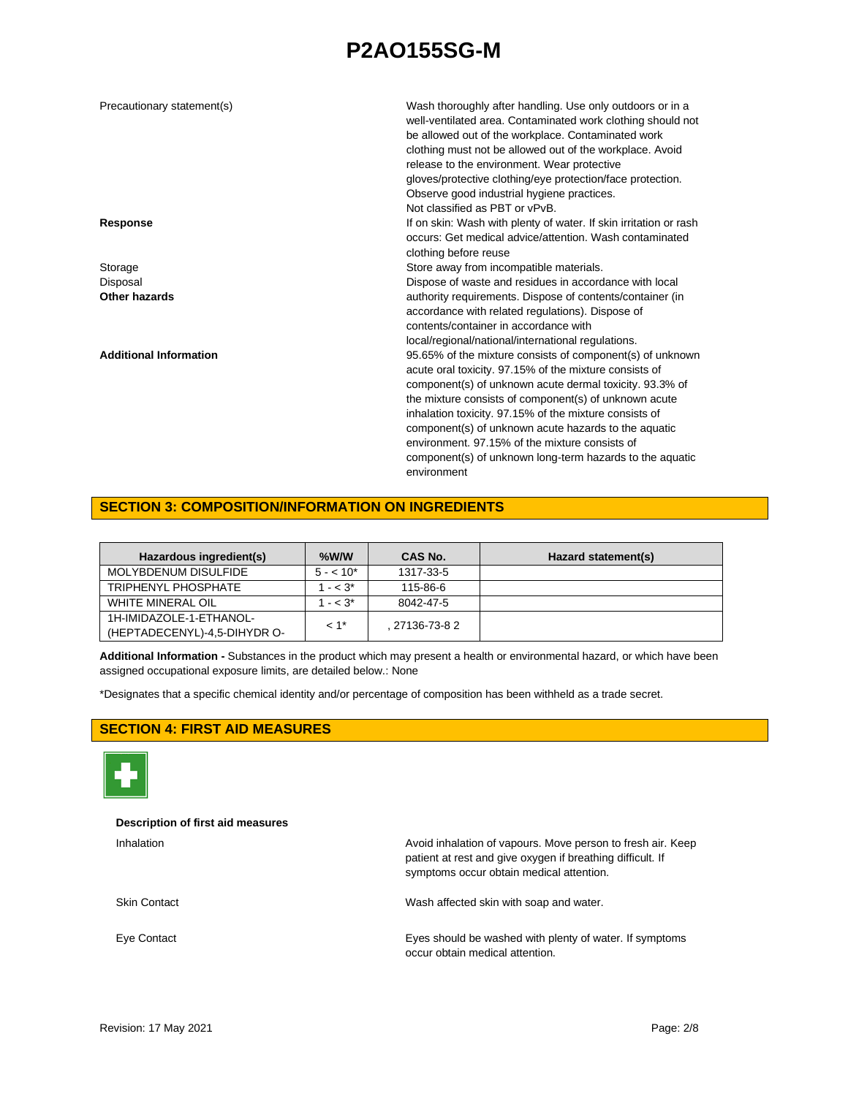| Precautionary statement(s)    | Wash thoroughly after handling. Use only outdoors or in a<br>well-ventilated area. Contaminated work clothing should not<br>be allowed out of the workplace. Contaminated work<br>clothing must not be allowed out of the workplace. Avoid<br>release to the environment. Wear protective<br>gloves/protective clothing/eye protection/face protection.<br>Observe good industrial hygiene practices.<br>Not classified as PBT or vPvB.                                                |
|-------------------------------|----------------------------------------------------------------------------------------------------------------------------------------------------------------------------------------------------------------------------------------------------------------------------------------------------------------------------------------------------------------------------------------------------------------------------------------------------------------------------------------|
| <b>Response</b>               | If on skin: Wash with plenty of water. If skin irritation or rash<br>occurs: Get medical advice/attention. Wash contaminated<br>clothing before reuse                                                                                                                                                                                                                                                                                                                                  |
| Storage                       | Store away from incompatible materials.                                                                                                                                                                                                                                                                                                                                                                                                                                                |
| Disposal                      | Dispose of waste and residues in accordance with local                                                                                                                                                                                                                                                                                                                                                                                                                                 |
| Other hazards                 | authority requirements. Dispose of contents/container (in<br>accordance with related regulations). Dispose of<br>contents/container in accordance with<br>local/regional/national/international regulations.                                                                                                                                                                                                                                                                           |
| <b>Additional Information</b> | 95.65% of the mixture consists of component(s) of unknown<br>acute oral toxicity. 97.15% of the mixture consists of<br>component(s) of unknown acute dermal toxicity. 93.3% of<br>the mixture consists of component(s) of unknown acute<br>inhalation toxicity. 97.15% of the mixture consists of<br>component(s) of unknown acute hazards to the aquatic<br>environment, 97,15% of the mixture consists of<br>component(s) of unknown long-term hazards to the aquatic<br>environment |

### **SECTION 3: COMPOSITION/INFORMATION ON INGREDIENTS**

| Hazardous ingredient(s)                                 | $%$ W/W            | CAS No.     | Hazard statement(s) |
|---------------------------------------------------------|--------------------|-------------|---------------------|
| MOLYBDENUM DISULFIDE                                    | $5 - 10^*$         | 1317-33-5   |                     |
| TRIPHENYL PHOSPHATE                                     | $- < 3^*$          | 115-86-6    |                     |
| <b>WHITE MINERAL OIL</b>                                | $- < 3^*$          | 8042-47-5   |                     |
| 1H-IMIDAZOLE-1-ETHANOL-<br>(HEPTADECENYL)-4,5-DIHYDR O- | $< 1$ <sup>*</sup> | 27136-73-82 |                     |

**Additional Information -** Substances in the product which may present a health or environmental hazard, or which have been assigned occupational exposure limits, are detailed below.: None

\*Designates that a specific chemical identity and/or percentage of composition has been withheld as a trade secret.

### **SECTION 4: FIRST AID MEASURES**



### **Description of first aid measures**

| Inhalation          | Avoid inhalation of vapours. Move person to fresh air. Keep<br>patient at rest and give oxygen if breathing difficult. If<br>symptoms occur obtain medical attention. |
|---------------------|-----------------------------------------------------------------------------------------------------------------------------------------------------------------------|
| <b>Skin Contact</b> | Wash affected skin with soap and water.                                                                                                                               |
| Eye Contact         | Eyes should be washed with plenty of water. If symptoms<br>occur obtain medical attention.                                                                            |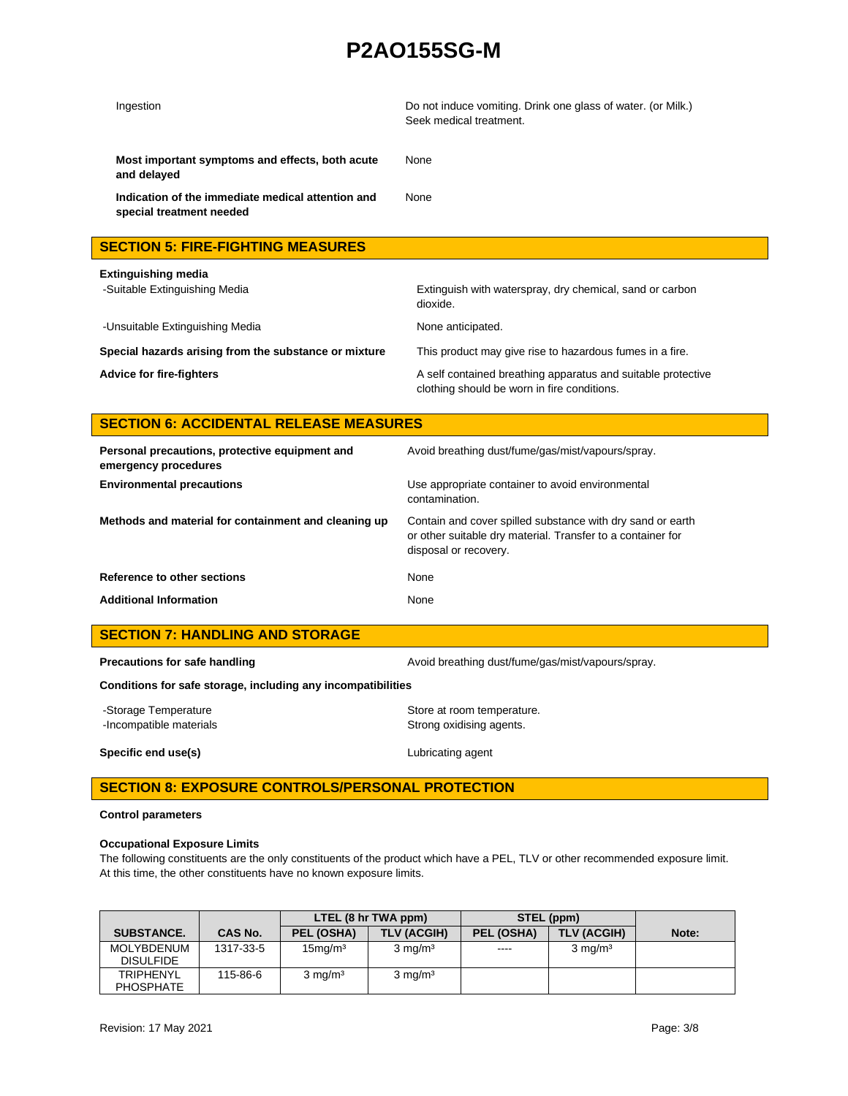| Ingestion                                                                     | Do not induce vomiting. Drink one glass of water. (or Milk.)<br>Seek medical treatment. |
|-------------------------------------------------------------------------------|-----------------------------------------------------------------------------------------|
| Most important symptoms and effects, both acute<br>and delayed                | None                                                                                    |
| Indication of the immediate medical attention and<br>special treatment needed | None                                                                                    |
| <b>SECTION 5: FIRE-FIGHTING MEASURES</b>                                      |                                                                                         |
| Extinguishing media                                                           |                                                                                         |
| -Suitable Extinguishing Media                                                 | Extinguish with waterspray, dry chemical, sand or carbon<br>dioxide.                    |

-Unsuitable Extinguishing Media None anticipated.

**Special hazards arising from the substance or mixture** This product may give rise to hazardous fumes in a fire.

Advice for fire-fighters **A** self contained breathing apparatus and suitable protective clothing should be worn in fire conditions.

## **SECTION 6: ACCIDENTAL RELEASE MEASURES**

| Personal precautions, protective equipment and<br>emergency procedures | Avoid breathing dust/fume/gas/mist/vapours/spray.                                                                                                  |
|------------------------------------------------------------------------|----------------------------------------------------------------------------------------------------------------------------------------------------|
| <b>Environmental precautions</b>                                       | Use appropriate container to avoid environmental<br>contamination.                                                                                 |
| Methods and material for containment and cleaning up                   | Contain and cover spilled substance with dry sand or earth<br>or other suitable dry material. Transfer to a container for<br>disposal or recovery. |
| Reference to other sections                                            | None                                                                                                                                               |
| <b>Additional Information</b>                                          | None                                                                                                                                               |

## **SECTION 7: HANDLING AND STORAGE**

**Precautions for safe handling Avoid breathing dust/fume/gas/mist/vapours/spray.** Avoid breathing dust/fume/gas/mist/vapours/spray.

**Conditions for safe storage, including any incompatibilities**

-Storage Temperature **Storage Temperature** Store at room temperature. -Incompatible materials **Strong oxidising agents**.

**Specific end use(s)** Lubricating agent

## **SECTION 8: EXPOSURE CONTROLS/PERSONAL PROTECTION**

### **Control parameters**

### **Occupational Exposure Limits**

The following constituents are the only constituents of the product which have a PEL, TLV or other recommended exposure limit. At this time, the other constituents have no known exposure limits.

|                                      |           | LTEL (8 hr TWA ppm)              |                    | STEL (ppm) |                    |       |
|--------------------------------------|-----------|----------------------------------|--------------------|------------|--------------------|-------|
| <b>SUBSTANCE.</b>                    | CAS No.   | PEL (OSHA)                       | TLV (ACGIH)        | PEL (OSHA) | TLV (ACGIH)        | Note: |
| MOLYBDENUM<br><b>DISULFIDE</b>       | 1317-33-5 | 15 <sub>mq</sub> /m <sup>3</sup> | $3 \text{ mg/m}^3$ | ----       | $3 \text{ mg/m}^3$ |       |
| <b>TRIPHENYL</b><br><b>PHOSPHATE</b> | 115-86-6  | $3 \text{ mg/m}^3$               | $3 \text{ mg/m}^3$ |            |                    |       |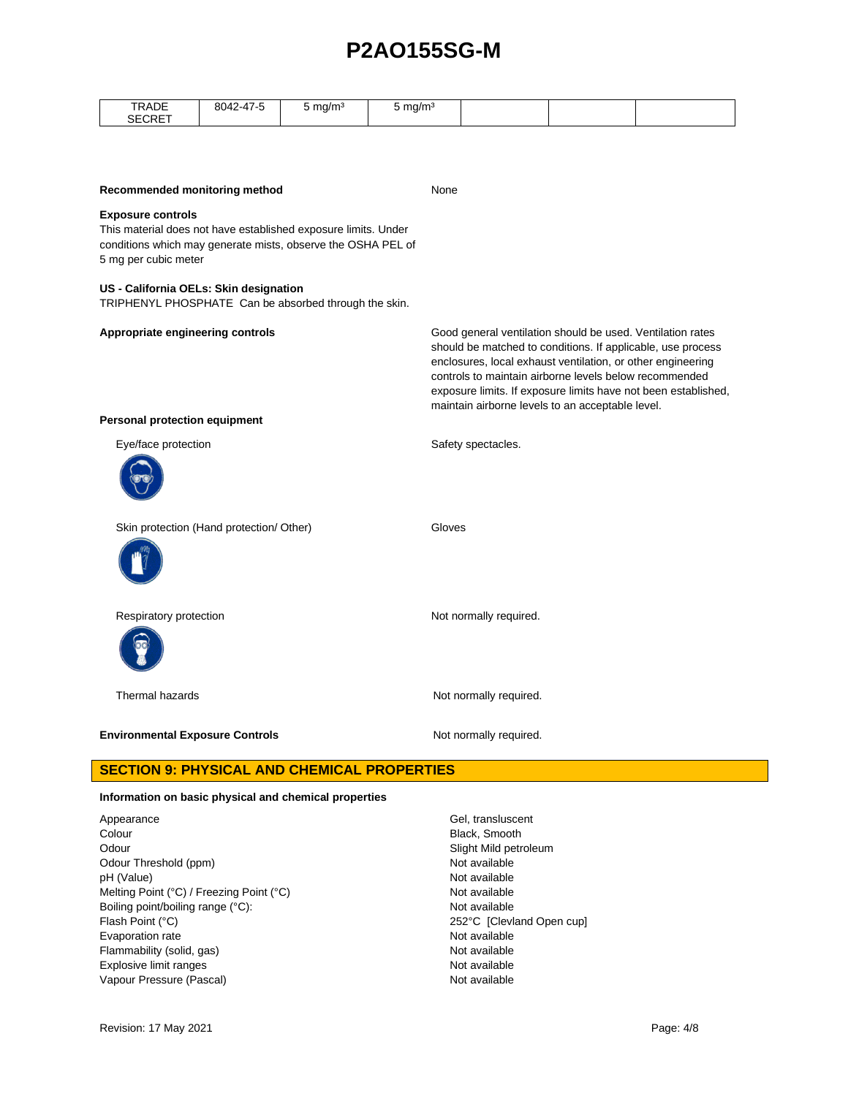| TRADE<br>SECRET                                                                                                                                                                    | 8042-47-5 | $5 \text{ mg/m}^3$ | 5 mg/ $m3$ |                                                                                                                                                                                                                                                                                                        |  |                                                                |  |
|------------------------------------------------------------------------------------------------------------------------------------------------------------------------------------|-----------|--------------------|------------|--------------------------------------------------------------------------------------------------------------------------------------------------------------------------------------------------------------------------------------------------------------------------------------------------------|--|----------------------------------------------------------------|--|
|                                                                                                                                                                                    |           |                    |            |                                                                                                                                                                                                                                                                                                        |  |                                                                |  |
| Recommended monitoring method                                                                                                                                                      |           |                    |            | None                                                                                                                                                                                                                                                                                                   |  |                                                                |  |
| <b>Exposure controls</b><br>This material does not have established exposure limits. Under<br>conditions which may generate mists, observe the OSHA PEL of<br>5 mg per cubic meter |           |                    |            |                                                                                                                                                                                                                                                                                                        |  |                                                                |  |
| US - California OELs: Skin designation<br>TRIPHENYL PHOSPHATE Can be absorbed through the skin.                                                                                    |           |                    |            |                                                                                                                                                                                                                                                                                                        |  |                                                                |  |
| Appropriate engineering controls                                                                                                                                                   |           |                    |            | Good general ventilation should be used. Ventilation rates<br>should be matched to conditions. If applicable, use process<br>enclosures, local exhaust ventilation, or other engineering<br>controls to maintain airborne levels below recommended<br>maintain airborne levels to an acceptable level. |  | exposure limits. If exposure limits have not been established, |  |
| <b>Personal protection equipment</b>                                                                                                                                               |           |                    |            |                                                                                                                                                                                                                                                                                                        |  |                                                                |  |
| Eye/face protection                                                                                                                                                                |           |                    |            | Safety spectacles.                                                                                                                                                                                                                                                                                     |  |                                                                |  |
| Skin protection (Hand protection/ Other)                                                                                                                                           |           |                    | Gloves     |                                                                                                                                                                                                                                                                                                        |  |                                                                |  |
| Respiratory protection                                                                                                                                                             |           |                    |            | Not normally required.                                                                                                                                                                                                                                                                                 |  |                                                                |  |
| Thermal hazards                                                                                                                                                                    |           |                    |            | Not normally required.                                                                                                                                                                                                                                                                                 |  |                                                                |  |
| <b>Environmental Exposure Controls</b>                                                                                                                                             |           |                    |            | Not normally required.                                                                                                                                                                                                                                                                                 |  |                                                                |  |
| <b>SECTION 9: PHYSICAL AND CHEMICAL PROPERTIES</b>                                                                                                                                 |           |                    |            |                                                                                                                                                                                                                                                                                                        |  |                                                                |  |

### **Information on basic physical and chemical properties**

Appearance Gel, transluscent Colour **Black, Smooth** Odour **Slight Mild petroleum** Odour Threshold (ppm) Not available pH (Value) Not available Melting Point (°C) / Freezing Point (°C) Not available Boiling point/boiling range (°C): Not available Flash Point (°C) 252°C [Clevland Open cup] Evaporation rate **Not available** Flammability (solid, gas) Not available Explosive limit ranges Not available Vapour Pressure (Pascal) Not available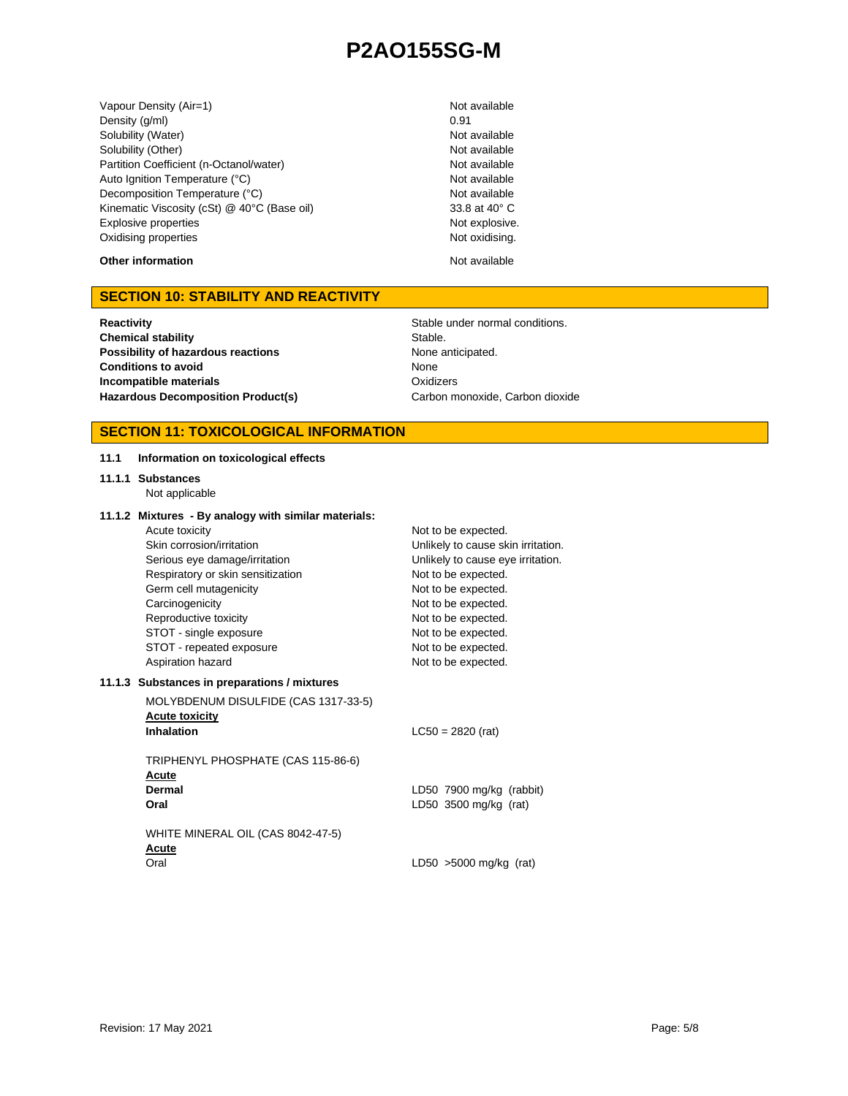Vapour Density (Air=1) Not available Density (g/ml) 0.91 Solubility (Water) Not available Solubility (Other) Not available Partition Coefficient (n-Octanol/water) Not available Auto Ignition Temperature (°C) Not available Decomposition Temperature (°C) Not available Kinematic Viscosity (cSt) @ 40°C (Base oil) 33.8 at 40° C Explosive properties Not explosive. Oxidising properties Not oxidising.

**Other information** Not available

### **SECTION 10: STABILITY AND REACTIVITY**

**Reactivity Reactivity Reactivity Reactivity Stable under normal conditions. Chemical stability** Stable. **Possibility of hazardous reactions** None anticipated. **Conditions to avoid Incompatible materials** Hazardous Decomposition Product(s) Carbon monoxide, Carbon dioxide

**11.1 Information on toxicological effects**

None **Oxidizers** 

### **SECTION 11: TOXICOLOGICAL INFORMATION**

| 11.1.1 Substances<br>Not applicable                                                                                                                                                                                                                                                                                        |                                                                                                                                                                                                                                                                 |
|----------------------------------------------------------------------------------------------------------------------------------------------------------------------------------------------------------------------------------------------------------------------------------------------------------------------------|-----------------------------------------------------------------------------------------------------------------------------------------------------------------------------------------------------------------------------------------------------------------|
| 11.1.2 Mixtures - By analogy with similar materials:<br>Acute toxicity<br>Skin corrosion/irritation<br>Serious eye damage/irritation<br>Respiratory or skin sensitization<br>Germ cell mutagenicity<br>Carcinogenicity<br>Reproductive toxicity<br>STOT - single exposure<br>STOT - repeated exposure<br>Aspiration hazard | Not to be expected.<br>Unlikely to cause skin irritation.<br>Unlikely to cause eye irritation.<br>Not to be expected.<br>Not to be expected.<br>Not to be expected.<br>Not to be expected.<br>Not to be expected.<br>Not to be expected.<br>Not to be expected. |
| 11.1.3 Substances in preparations / mixtures                                                                                                                                                                                                                                                                               |                                                                                                                                                                                                                                                                 |
| MOLYBDENUM DISULFIDE (CAS 1317-33-5)<br><b>Acute toxicity</b><br><b>Inhalation</b>                                                                                                                                                                                                                                         | $LC50 = 2820$ (rat)                                                                                                                                                                                                                                             |
| TRIPHENYL PHOSPHATE (CAS 115-86-6)<br>Acute<br>Dermal<br>Oral                                                                                                                                                                                                                                                              | LD50 7900 mg/kg (rabbit)<br>LD50 3500 mg/kg (rat)                                                                                                                                                                                                               |
| WHITE MINERAL OIL (CAS 8042-47-5)<br>Acute<br>Oral                                                                                                                                                                                                                                                                         | LD50 $>5000$ mg/kg (rat)                                                                                                                                                                                                                                        |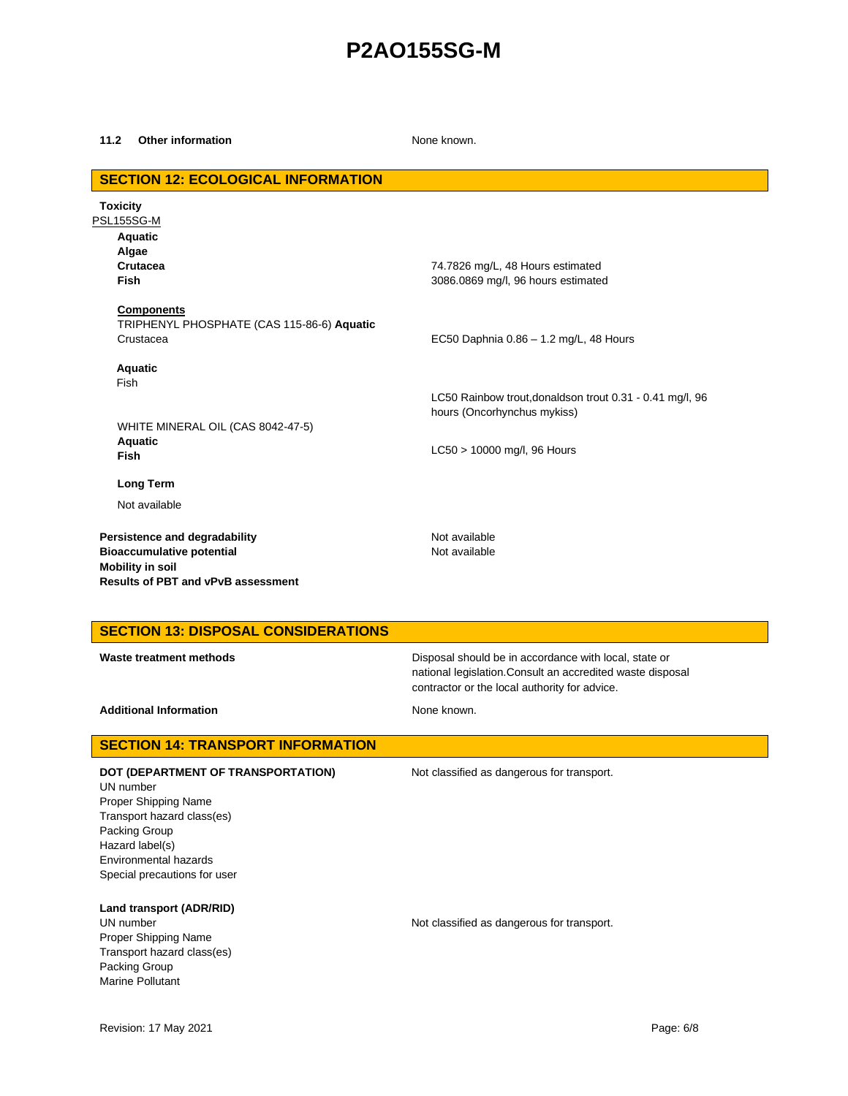#### **11.2 Other information** None known.

## **SECTION 12: ECOLOGICAL INFORMATION Toxicity** PSL155SG-M **Aquatic Algae Crutacea Fish Components** TRIPHENYL PHOSPHATE (CAS 115-86-6) **Aquatic** Crustacea **Aquatic** Fish 74.7826 mg/L, 48 Hours estimated 3086.0869 mg/l, 96 hours estimated EC50 Daphnia 0.86 – 1.2 mg/L, 48 Hours LC50 Rainbow trout,donaldson trout 0.31 - 0.41 mg/l, 96 hours (Oncorhynchus mykiss) WHITE MINERAL OIL (CAS 8042-47-5) **Aquatic Fish** LC50 > 10000 mg/l, 96 Hours **Long Term** Not available **Persistence and degradability** Not available **Bioaccumulative potential Not available** Not available **Mobility in soil Results of PBT and vPvB assessment**

### **SECTION 13: DISPOSAL CONSIDERATIONS**

**Waste treatment methods Disposal should be in accordance with local, state or Disposal should be in accordance with local, state or** national legislation.Consult an accredited waste disposal contractor or the local authority for advice.

Additional Information **None known.** None known.

## **SECTION 14: TRANSPORT INFORMATION**

**DOT (DEPARTMENT OF TRANSPORTATION)** Not classified as dangerous for transport. UN number Proper Shipping Name Transport hazard class(es) Packing Group Hazard label(s) Environmental hazards Special precautions for user

**Land transport (ADR/RID)**

Proper Shipping Name Transport hazard class(es) Packing Group Marine Pollutant

UN number **Not classified as dangerous for transport.**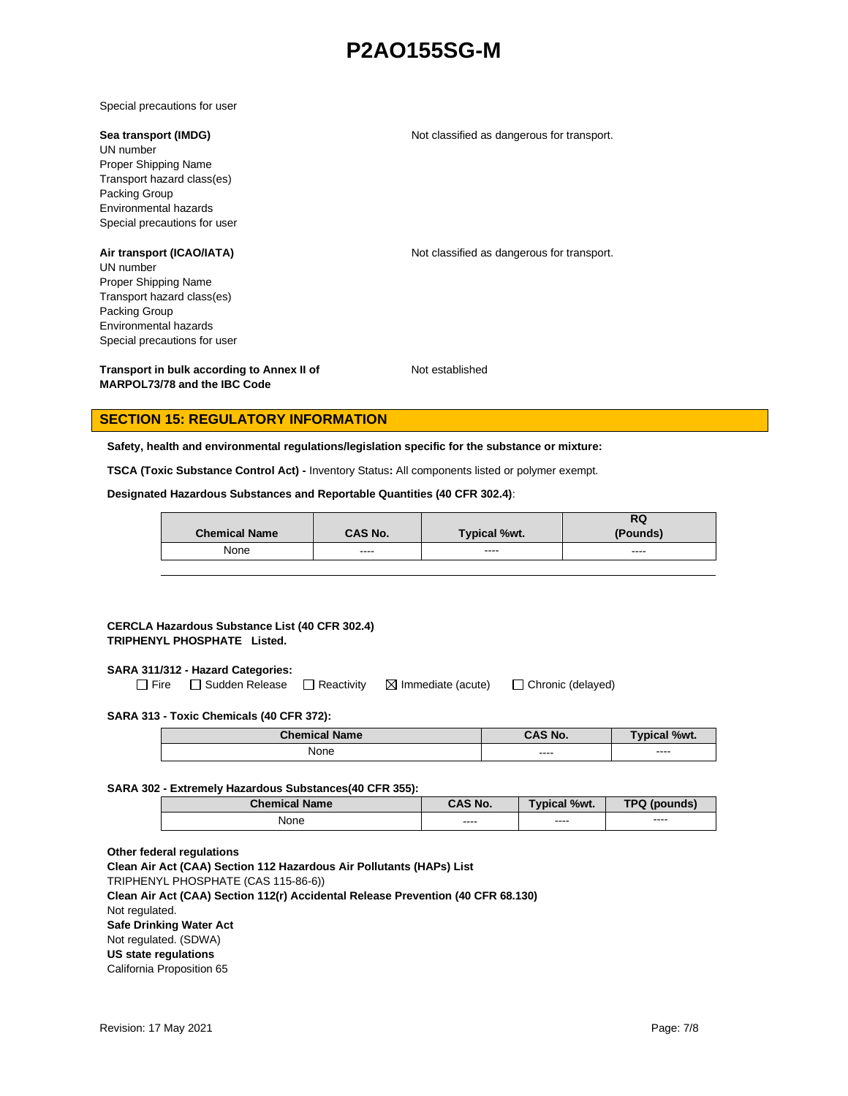Special precautions for user

#### **Sea transport (IMDG)** Not classified as dangerous for transport.

UN number Proper Shipping Name Transport hazard class(es) Packing Group Environmental hazards Special precautions for user

**Air transport (ICAO/IATA)** Not classified as dangerous for transport. UN number Proper Shipping Name Transport hazard class(es) Packing Group Environmental hazards

Special precautions for user

**Transport in bulk according to Annex II of MARPOL73/78 and the IBC Code**

Not established

### **SECTION 15: REGULATORY INFORMATION**

**Safety, health and environmental regulations/legislation specific for the substance or mixture:**

**TSCA (Toxic Substance Control Act) -** Inventory Status**:** All components listed or polymer exempt.

**Designated Hazardous Substances and Reportable Quantities (40 CFR 302.4)**:

|                      |         |                     | RQ       |
|----------------------|---------|---------------------|----------|
| <b>Chemical Name</b> | CAS No. | <b>Typical %wt.</b> | (Pounds) |
| None                 | ----    | ----                | ----     |

### **CERCLA Hazardous Substance List (40 CFR 302.4) TRIPHENYL PHOSPHATE Listed.**

### **SARA 311/312 - Hazard Categories:**

 $\Box$  Fire  $\Box$  Sudden Release  $\Box$  Reactivity  $\Box$  Immediate (acute)  $\Box$  Chronic (delayed)

### **SARA 313 - Toxic Chemicals (40 CFR 372):**

| <b>Chemical Name</b> | CAS No.      | $\mathcal{N}$ / $\mathcal{N}$<br><b>v</b> pical |
|----------------------|--------------|-------------------------------------------------|
| None                 | ----<br>____ | ----<br>-----                                   |

### **SARA 302 - Extremely Hazardous Substances(40 CFR 355):**

| <b>Chemical Name</b> | <b>CAS No.</b> | <b>Typical %wt.</b> | <b>TPQ (pounds)</b> |
|----------------------|----------------|---------------------|---------------------|
| None                 | ----           | $- - - -$           | ----                |

### **Other federal regulations**

**Clean Air Act (CAA) Section 112 Hazardous Air Pollutants (HAPs) List**  TRIPHENYL PHOSPHATE (CAS 115-86-6)) **Clean Air Act (CAA) Section 112(r) Accidental Release Prevention (40 CFR 68.130)**  Not regulated. **Safe Drinking Water Act** Not regulated. (SDWA) **US state regulations**  California Proposition 65